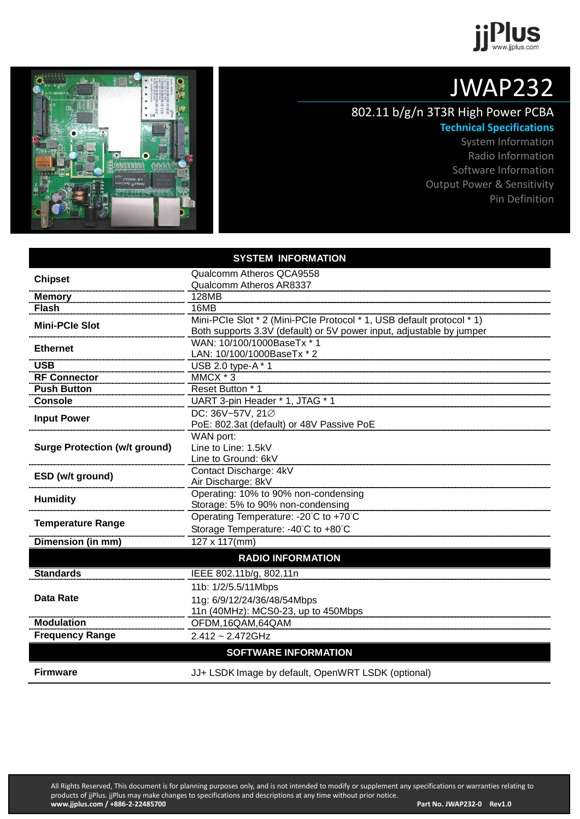



## JWAP232

## 802.11 b/g/n 3T3R High Power PCBA **Technical Specifications**

System Information Radio Information Software Information Output Power & Sensitivity Pin Definition

|                                      | <b>SYSTEM INFORMATION</b>                                             |  |  |  |
|--------------------------------------|-----------------------------------------------------------------------|--|--|--|
|                                      | Qualcomm Atheros QCA9558                                              |  |  |  |
| <b>Chipset</b>                       | Qualcomm Atheros AR8337                                               |  |  |  |
| <b>Memory</b>                        | 128MB                                                                 |  |  |  |
| <b>Flash</b>                         | 16MB                                                                  |  |  |  |
| <b>Mini-PCIe Slot</b>                | Mini-PCIe Slot * 2 (Mini-PCIe Protocol * 1, USB default protocol * 1) |  |  |  |
|                                      | Both supports 3.3V (default) or 5V power input, adjustable by jumper  |  |  |  |
| <b>Ethernet</b>                      | WAN: 10/100/1000BaseTx * 1                                            |  |  |  |
|                                      | LAN: 10/100/1000BaseTx * 2                                            |  |  |  |
| <b>USB</b>                           | USB 2.0 type-A * 1                                                    |  |  |  |
| <b>RF Connector</b>                  | MMCX * 3                                                              |  |  |  |
| <b>Push Button</b>                   | Reset Button * 1                                                      |  |  |  |
| <b>Console</b>                       | UART 3-pin Header * 1, JTAG * 1                                       |  |  |  |
| <b>Input Power</b>                   | DC: 36V~57V, 21Ø                                                      |  |  |  |
|                                      | PoE: 802.3at (default) or 48V Passive PoE                             |  |  |  |
| <b>Surge Protection (w/t ground)</b> | WAN port:<br>Line to Line: 1.5kV                                      |  |  |  |
|                                      | Line to Ground: 6kV                                                   |  |  |  |
|                                      | Contact Discharge: 4kV                                                |  |  |  |
| ESD (w/t ground)                     | Air Discharge: 8kV                                                    |  |  |  |
|                                      | Operating: 10% to 90% non-condensing                                  |  |  |  |
| <b>Humidity</b>                      | Storage: 5% to 90% non-condensing                                     |  |  |  |
|                                      | Operating Temperature: - 20°C to +70°C                                |  |  |  |
| <b>Temperature Range</b>             | Storage Temperature: -40°C to +80°C                                   |  |  |  |
| Dimension (in mm)                    | 127 x 117(mm)                                                         |  |  |  |
|                                      | <b>RADIO INFORMATION</b>                                              |  |  |  |
| <b>Standards</b>                     | IEEE 802.11b/g, 802.11n                                               |  |  |  |
|                                      | 11b: 1/2/5.5/11Mbps                                                   |  |  |  |
| <b>Data Rate</b>                     | 11g: 6/9/12/24/36/48/54Mbps                                           |  |  |  |
|                                      | 11n (40MHz): MCS0-23, up to 450Mbps                                   |  |  |  |
| <b>Modulation</b>                    | OFDM,16QAM,64QAM                                                      |  |  |  |
| <b>Frequency Range</b>               | 2.412 ~ 2.472GHz                                                      |  |  |  |
|                                      | <b>SOFTWARE INFORMATION</b>                                           |  |  |  |
| <b>Firmware</b>                      | JJ+ LSDK Image by default, OpenWRT LSDK (optional)                    |  |  |  |
|                                      |                                                                       |  |  |  |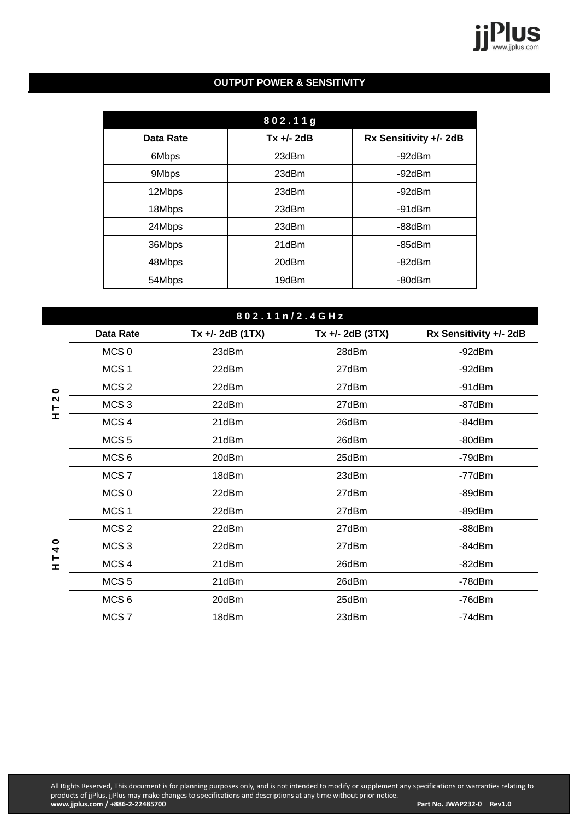

## **OUTPUT POWER & SENSITIVITY**

|           | 802.11g      |                        |
|-----------|--------------|------------------------|
| Data Rate | $Tx +/- 2dB$ | Rx Sensitivity +/- 2dB |
| 6Mbps     | 23dBm        | -92dBm                 |
| 9Mbps     | 23dBm        | -92dBm                 |
| 12Mbps    | 23dBm        | -92dBm                 |
| 18Mbps    | 23dBm        | -91dBm                 |
| 24Mbps    | 23dBm        | -88dBm                 |
| 36Mbps    | 21dBm        | $-85$ d $Bm$           |
| 48Mbps    | 20dBm        | $-82dBr$               |
| 54Mbps    | 19dBm        | -80dBm                 |

|                           | 802.11n/2.4GHz   |                    |                    |                        |  |  |  |  |
|---------------------------|------------------|--------------------|--------------------|------------------------|--|--|--|--|
|                           | <b>Data Rate</b> | $Tx +/- 2dB (1TX)$ | $Tx +/- 2dB (3TX)$ | Rx Sensitivity +/- 2dB |  |  |  |  |
| $\bullet$<br>$\sim$<br>I. | MCS <sub>0</sub> | 23dBm              | 28dBm              | -92dBm                 |  |  |  |  |
|                           | MCS <sub>1</sub> | 22dBm              | 27dBm              | -92dBm                 |  |  |  |  |
|                           | MCS <sub>2</sub> | 22dBm              | 27dBm              | $-91$ d $Bm$           |  |  |  |  |
|                           | MCS <sub>3</sub> | 22dBm              | 27dBm              | -87dBm                 |  |  |  |  |
|                           | MCS <sub>4</sub> | 21dBm              | 26dBm              | -84dBm                 |  |  |  |  |
|                           | MCS <sub>5</sub> | 21dBm              | 26dBm              | -80dBm                 |  |  |  |  |
|                           | MCS <sub>6</sub> | 20dBm              | 25dBm              | -79dBm                 |  |  |  |  |
|                           | MCS <sub>7</sub> | 18dBm              | 23dBm              | -77dBm                 |  |  |  |  |
|                           | MCS <sub>0</sub> | 22dBm              | 27dBm              | -89dBm                 |  |  |  |  |
|                           | MCS <sub>1</sub> | 22dBm              | 27dBm              | $-89dBr$               |  |  |  |  |
|                           | MCS <sub>2</sub> | 22dBm              | 27dBm              | -88dBm                 |  |  |  |  |
| $\bullet$<br>4<br>۳<br>Ξ. | MCS <sub>3</sub> | 22dBm              | 27dBm              | $-84dBm$               |  |  |  |  |
|                           | MCS <sub>4</sub> | 21dBm              | 26dBm              | $-82dBr$               |  |  |  |  |
|                           | MCS <sub>5</sub> | 21dBm              | 26dBm              | -78dBm                 |  |  |  |  |
|                           | MCS <sub>6</sub> | 20dBm              | 25dBm              | -76dBm                 |  |  |  |  |
|                           | MCS <sub>7</sub> | 18dBm              | 23dBm              | -74dBm                 |  |  |  |  |